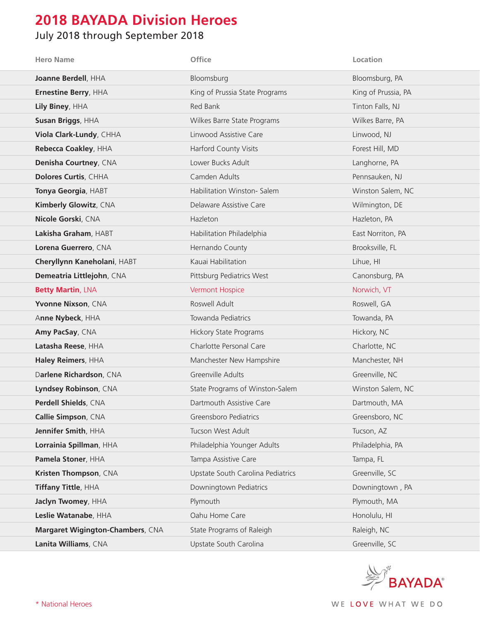## **2018 BAYADA Division Heroes**

## July 2018 through September 2018

| <b>Hero Name</b>                 | Office                            | Location            |
|----------------------------------|-----------------------------------|---------------------|
| Joanne Berdell, HHA              | Bloomsburg                        | Bloomsburg, PA      |
| Ernestine Berry, HHA             | King of Prussia State Programs    | King of Prussia, PA |
| Lily Biney, HHA                  | Red Bank                          | Tinton Falls, NJ    |
| Susan Briggs, HHA                | Wilkes Barre State Programs       | Wilkes Barre, PA    |
| Viola Clark-Lundy, CHHA          | Linwood Assistive Care            | Linwood, NJ         |
| Rebecca Coakley, HHA             | Harford County Visits             | Forest Hill, MD     |
| Denisha Courtney, CNA            | Lower Bucks Adult                 | Langhorne, PA       |
| Dolores Curtis, CHHA             | Camden Adults                     | Pennsauken, NJ      |
| Tonya Georgia, HABT              | Habilitation Winston- Salem       | Winston Salem, NC   |
| <b>Kimberly Glowitz, CNA</b>     | Delaware Assistive Care           | Wilmington, DE      |
| Nicole Gorski, CNA               | Hazleton                          | Hazleton, PA        |
| Lakisha Graham, HABT             | Habilitation Philadelphia         | East Norriton, PA   |
| Lorena Guerrero, CNA             | Hernando County                   | Brooksville, FL     |
| Cheryllynn Kaneholani, HABT      | Kauai Habilitation                | Lihue, HI           |
| Demeatria Littlejohn, CNA        | Pittsburg Pediatrics West         | Canonsburg, PA      |
| <b>Betty Martin, LNA</b>         | <b>Vermont Hospice</b>            | Norwich, VT         |
| Yvonne Nixson, CNA               | Roswell Adult                     | Roswell, GA         |
| Anne Nybeck, HHA                 | Towanda Pediatrics                | Towanda, PA         |
| Amy PacSay, CNA                  | <b>Hickory State Programs</b>     | Hickory, NC         |
| Latasha Reese, HHA               | Charlotte Personal Care           | Charlotte, NC       |
| Haley Reimers, HHA               | Manchester New Hampshire          | Manchester, NH      |
| Darlene Richardson, CNA          | Greenville Adults                 | Greenville, NC      |
| Lyndsey Robinson, CNA            | State Programs of Winston-Salem   | Winston Salem, NC   |
| Perdell Shields, CNA             | Dartmouth Assistive Care          | Dartmouth, MA       |
| Callie Simpson, CNA              | Greensboro Pediatrics             | Greensboro, NC      |
| Jennifer Smith, HHA              | Tucson West Adult                 | Tucson, AZ          |
| Lorrainia Spillman, HHA          | Philadelphia Younger Adults       | Philadelphia, PA    |
| Pamela Stoner, HHA               | Tampa Assistive Care              | Tampa, FL           |
| Kristen Thompson, CNA            | Upstate South Carolina Pediatrics | Greenville, SC      |
| Tiffany Tittle, HHA              | Downingtown Pediatrics            | Downingtown, PA     |
| Jaclyn Twomey, HHA               | Plymouth                          | Plymouth, MA        |
| Leslie Watanabe, HHA             | Oahu Home Care                    | Honolulu, HI        |
| Margaret Wigington-Chambers, CNA | State Programs of Raleigh         | Raleigh, NC         |
| Lanita Williams, CNA             | Upstate South Carolina            | Greenville, SC      |

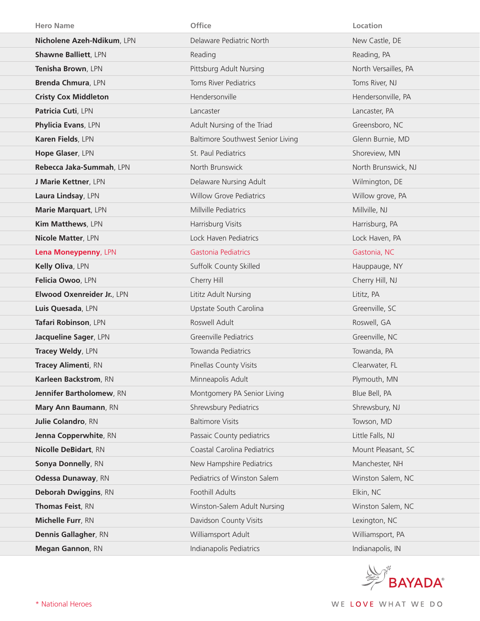| <b>Hero Name</b>            | Office                            | Location             |
|-----------------------------|-----------------------------------|----------------------|
| Nicholene Azeh-Ndikum, LPN  | Delaware Pediatric North          | New Castle, DE       |
| <b>Shawne Balliett, LPN</b> | Reading                           | Reading, PA          |
| Tenisha Brown, LPN          | Pittsburg Adult Nursing           | North Versailles, PA |
| Brenda Chmura, LPN          | <b>Toms River Pediatrics</b>      | Toms River, NJ       |
| <b>Cristy Cox Middleton</b> | Hendersonville                    | Hendersonville, PA   |
| Patricia Cuti, LPN          | Lancaster                         | Lancaster, PA        |
| Phylicia Evans, LPN         | Adult Nursing of the Triad        | Greensboro, NC       |
| Karen Fields, LPN           | Baltimore Southwest Senior Living | Glenn Burnie, MD     |
| Hope Glaser, LPN            | St. Paul Pediatrics               | Shoreview, MN        |
| Rebecca Jaka-Summah, LPN    | North Brunswick                   | North Brunswick, NJ  |
| J Marie Kettner, LPN        | Delaware Nursing Adult            | Wilmington, DE       |
| Laura Lindsay, LPN          | <b>Willow Grove Pediatrics</b>    | Willow grove, PA     |
| Marie Marquart, LPN         | Millville Pediatrics              | Millville, NJ        |
| Kim Matthews, LPN           | Harrisburg Visits                 | Harrisburg, PA       |
| <b>Nicole Matter, LPN</b>   | Lock Haven Pediatrics             | Lock Haven, PA       |
| Lena Moneypenny, LPN        | <b>Gastonia Pediatrics</b>        | Gastonia, NC         |
| Kelly Oliva, LPN            | Suffolk County Skilled            | Hauppauge, NY        |
| Felicia Owoo, LPN           | Cherry Hill                       | Cherry Hill, NJ      |
| Elwood Oxenreider Jr., LPN  | Lititz Adult Nursing              | Lititz, PA           |
| Luis Quesada, LPN           | Upstate South Carolina            | Greenville, SC       |
| Tafari Robinson, LPN        | Roswell Adult                     | Roswell, GA          |
| Jacqueline Sager, LPN       | <b>Greenville Pediatrics</b>      | Greenville, NC       |
| Tracey Weldy, LPN           | <b>Towanda Pediatrics</b>         | Towanda, PA          |
| <b>Tracey Alimenti, RN</b>  | Pinellas County Visits            | Clearwater, FL       |
| Karleen Backstrom, RN       | Minneapolis Adult                 | Plymouth, MN         |
| Jennifer Bartholomew, RN    | Montgomery PA Senior Living       | Blue Bell, PA        |
| Mary Ann Baumann, RN        | Shrewsbury Pediatrics             | Shrewsbury, NJ       |
| <b>Julie Colandro, RN</b>   | <b>Baltimore Visits</b>           | Towson, MD           |
| Jenna Copperwhite, RN       | Passaic County pediatrics         | Little Falls, NJ     |
| <b>Nicolle DeBidart, RN</b> | Coastal Carolina Pediatrics       | Mount Pleasant, SC   |
| Sonya Donnelly, RN          | New Hampshire Pediatrics          | Manchester, NH       |
| Odessa Dunaway, RN          | Pediatrics of Winston Salem       | Winston Salem, NC    |
| <b>Deborah Dwiggins, RN</b> | Foothill Adults                   | Elkin, NC            |
| Thomas Feist, RN            | Winston-Salem Adult Nursing       | Winston Salem, NC    |
| Michelle Furr, RN           | Davidson County Visits            | Lexington, NC        |
| <b>Dennis Gallagher, RN</b> | Williamsport Adult                | Williamsport, PA     |
| Megan Gannon, RN            | Indianapolis Pediatrics           | Indianapolis, IN     |